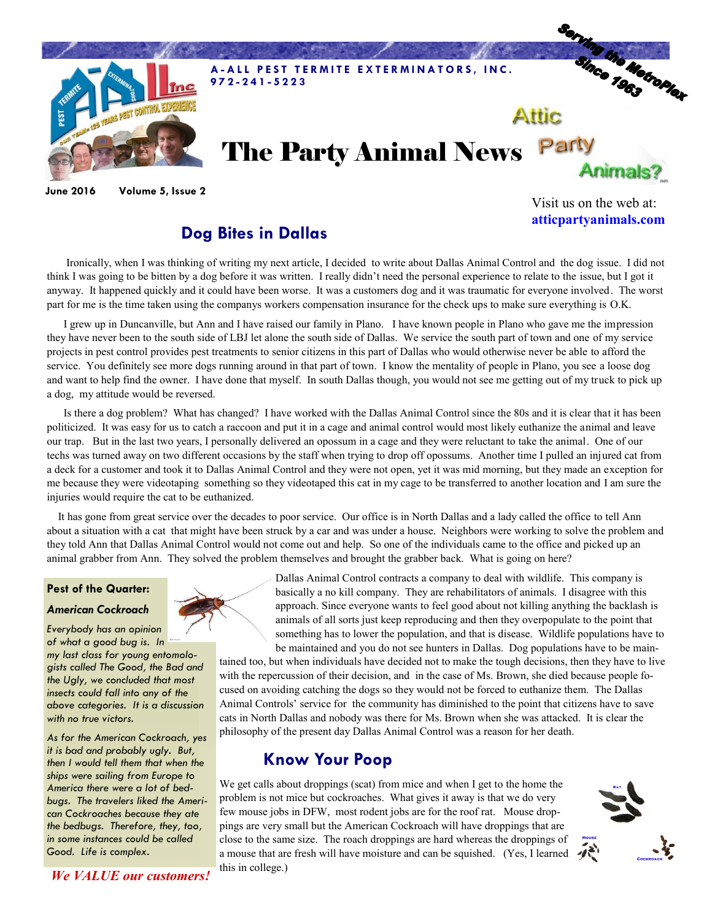

**June 2016 Volume 5, Issue 2**

Visit us on the web at: **atticpartyanimals.com**

## **Dog Bites in Dallas**

 Ironically, when I was thinking of writing my next article, I decided to write about Dallas Animal Control and the dog issue. I did not think I was going to be bitten by a dog before it was written. I really didn't need the personal experience to relate to the issue, but I got it anyway. It happened quickly and it could have been worse. It was a customers dog and it was traumatic for everyone involved. The worst part for me is the time taken using the companys workers compensation insurance for the check ups to make sure everything is O.K.

 I grew up in Duncanville, but Ann and I have raised our family in Plano. I have known people in Plano who gave me the impression they have never been to the south side of LBJ let alone the south side of Dallas. We service the south part of town and one of my service projects in pest control provides pest treatments to senior citizens in this part of Dallas who would otherwise never be able to afford the service. You definitely see more dogs running around in that part of town. I know the mentality of people in Plano, you see a loose dog and want to help find the owner. I have done that myself. In south Dallas though, you would not see me getting out of my truck to pick up a dog, my attitude would be reversed.

 Is there a dog problem? What has changed? I have worked with the Dallas Animal Control since the 80s and it is clear that it has been politicized. It was easy for us to catch a raccoon and put it in a cage and animal control would most likely euthanize the animal and leave our trap. But in the last two years, I personally delivered an opossum in a cage and they were reluctant to take the animal. One of our techs was turned away on two different occasions by the staff when trying to drop off opossums. Another time I pulled an injured cat from a deck for a customer and took it to Dallas Animal Control and they were not open, yet it was mid morning, but they made an exception for me because they were videotaping something so they videotaped this cat in my cage to be transferred to another location and I am sure the injuries would require the cat to be euthanized.

 It has gone from great service over the decades to poor service. Our office is in North Dallas and a lady called the office to tell Ann about a situation with a cat that might have been struck by a car and was under a house. Neighbors were working to solve the problem and they told Ann that Dallas Animal Control would not come out and help. So one of the individuals came to the office and picked up an animal grabber from Ann. They solved the problem themselves and brought the grabber back. What is going on here?

### **Pest of the Quarter:**

#### *American Cockroach*

*Everybody has an opinion of what a good bug is. In my last class for young entomologists called The Good, the Bad and the Ugly, we concluded that most insects could fall into any of the above categories. It is a discussion with no true victors.*

*As for the American Cockroach, yes it is bad and probably ugly. But, then I would tell them that when the ships were sailing from Europe to America there were a lot of bedbugs. The travelers liked the American Cockroaches because they ate the bedbugs. Therefore, they, too, in some instances could be called Good. Life is complex.*



Dallas Animal Control contracts a company to deal with wildlife. This company is basically a no kill company. They are rehabilitators of animals. I disagree with this approach. Since everyone wants to feel good about not killing anything the backlash is animals of all sorts just keep reproducing and then they overpopulate to the point that something has to lower the population, and that is disease. Wildlife populations have to be maintained and you do not see hunters in Dallas. Dog populations have to be main-

tained too, but when individuals have decided not to make the tough decisions, then they have to live with the repercussion of their decision, and in the case of Ms. Brown, she died because people focused on avoiding catching the dogs so they would not be forced to euthanize them. The Dallas Animal Controls' service for the community has diminished to the point that citizens have to save cats in North Dallas and nobody was there for Ms. Brown when she was attacked. It is clear the philosophy of the present day Dallas Animal Control was a reason for her death.

## **Know Your Poop**

We get calls about droppings (scat) from mice and when I get to the home the problem is not mice but cockroaches. What gives it away is that we do very few mouse jobs in DFW, most rodent jobs are for the roof rat. Mouse droppings are very small but the American Cockroach will have droppings that are close to the same size. The roach droppings are hard whereas the droppings of a mouse that are fresh will have moisture and can be squished. (Yes, I learned this in college.)



*We VALUE our customers!*